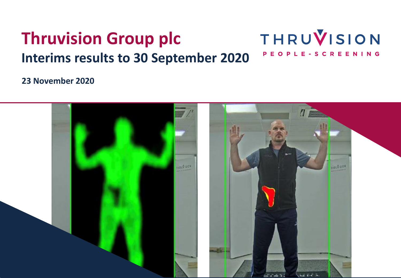#### THRUVISION **Thruvision Group plc** PEOPLE-SCREENING **Interims results to 30 September 2020**

### **23 November 2020**

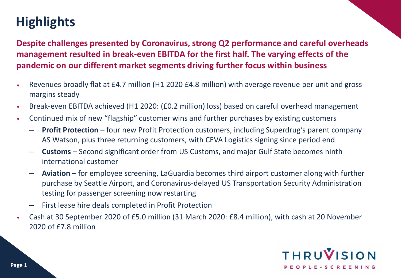# **Highlights**

**Despite challenges presented by Coronavirus, strong Q2 performance and careful overheads management resulted in break-even EBITDA for the first half. The varying effects of the pandemic on our different market segments driving further focus within business**

- Revenues broadly flat at £4.7 million (H1 2020 £4.8 million) with average revenue per unit and gross margins steady
- ▼ Break-even EBITDA achieved (H1 2020: (£0.2 million) loss) based on careful overhead management
- Continued mix of new "flagship" customer wins and further purchases by existing customers
	- **Profit Protection** four new Profit Protection customers, including Superdrug's parent company AS Watson, plus three returning customers, with CEVA Logistics signing since period end
	- **Customs** Second significant order from US Customs, and major Gulf State becomes ninth international customer
	- **Aviation** for employee screening, LaGuardia becomes third airport customer along with further purchase by Seattle Airport, and Coronavirus-delayed US Transportation Security Administration testing for passenger screening now restarting
	- First lease hire deals completed in Profit Protection
- Cash at 30 September 2020 of £5.0 million (31 March 2020: £8.4 million), with cash at 20 November 2020 of £7.8 million

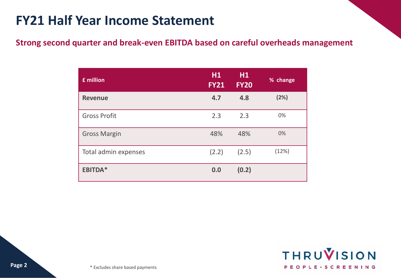## **FY21 Half Year Income Statement**

### **Strong second quarter and break-even EBITDA based on careful overheads management**

| £ million            | H1<br><b>FY21</b> | H <sub>1</sub><br><b>FY20</b> | % change |
|----------------------|-------------------|-------------------------------|----------|
| <b>Revenue</b>       | 4.7               | 4.8                           | (2%)     |
| <b>Gross Profit</b>  | 2.3               | 2.3                           | 0%       |
| <b>Gross Margin</b>  | 48%               | 48%                           | 0%       |
| Total admin expenses | (2.2)             | (2.5)                         | (12%)    |
| <b>EBITDA*</b>       | 0.0               | (0.2)                         |          |

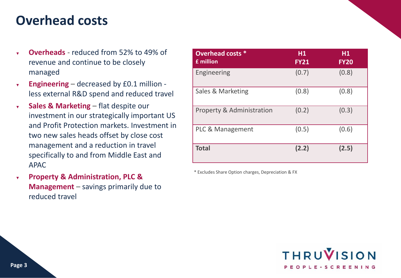### **Overhead costs**

- **Overheads** reduced from 52% to 49% of revenue and continue to be closely managed
- ▼ **Engineering** decreased by £0.1 million less external R&D spend and reduced travel
- ▼ **Sales & Marketing**  flat despite our investment in our strategically important US and Profit Protection markets. Investment in two new sales heads offset by close cost management and a reduction in travel specifically to and from Middle East and APAC
- **Property & Administration, PLC & Management** – savings primarily due to reduced travel

| <b>Overhead costs *</b><br>£ million | H <sub>1</sub><br><b>FY21</b> | H1<br><b>FY20</b> |
|--------------------------------------|-------------------------------|-------------------|
| Engineering                          | (0.7)                         | (0.8)             |
| Sales & Marketing                    | (0.8)                         | (0.8)             |
| <b>Property &amp; Administration</b> | (0.2)                         | (0.3)             |
| PLC & Management                     | (0.5)                         | (0.6)             |
| <b>Total</b>                         | (2.2)                         | (2.5)             |

\* Excludes Share Option charges, Depreciation & FX

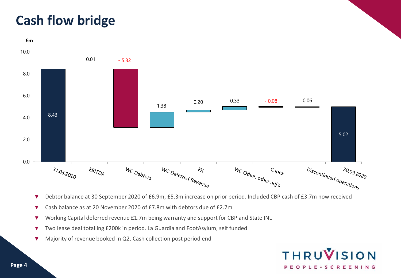## **Cash flow bridge**



- ▼ Debtor balance at 30 September 2020 of £6.9m, £5.3m increase on prior period. Included CBP cash of £3.7m now received
- ▼ Cash balance as at 20 November 2020 of £7.8m with debtors due of £2.7m
- ▼ Working Capital deferred revenue £1.7m being warranty and support for CBP and State INL
- ▼ Two lease deal totalling £200k in period. La Guardia and FootAsylum, self funded
- ▼ Majority of revenue booked in Q2. Cash collection post period end

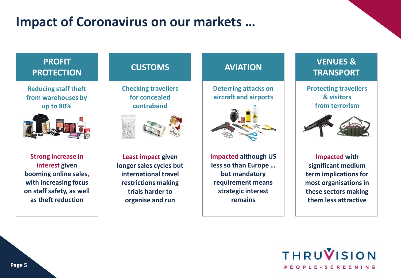## **Impact of Coronavirus on our markets …**

### **PROFIT PROTECTION**

**Reducing staff theft from warehouses by up to 80%**



**Strong increase in interest given booming online sales, with increasing focus on staff safety, as well as theft reduction**

**CUSTOMS**

**Checking travellers for concealed contraband**



**Least impact given longer sales cycles but international travel restrictions making trials harder to organise and run**

### **AVIATION**

**Deterring attacks on aircraft and airports**



**Impacted although US less so than Europe … but mandatory requirement means strategic interest remains**

### **VENUES & TRANSPORT**

**Protecting travellers & visitors from terrorism**



**Impacted with significant medium term implications for most organisations in these sectors making them less attractive**

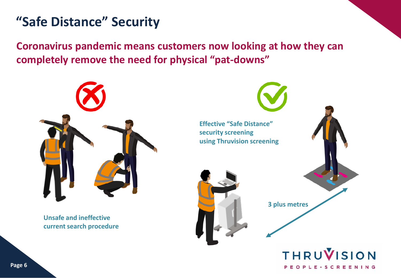## **"Safe Distance" Security**

**Coronavirus pandemic means customers now looking at how they can completely remove the need for physical "pat-downs"**



**Unsafe and ineffective current search procedure**



PEOPLE-SCREENING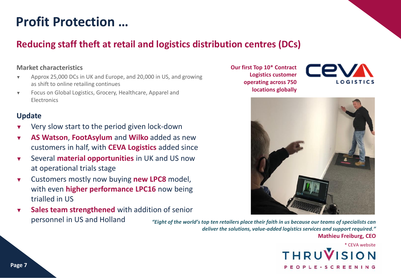## **Profit Protection …**

### **Reducing staff theft at retail and logistics distribution centres (DCs)**

#### **Market characteristics**

- ▼ Approx 25,000 DCs in UK and Europe, and 20,000 in US, and growing as shift to online retailing continues
- ▼ Focus on Global Logistics, Grocery, Healthcare, Apparel and **Electronics**

#### **Update**

- ▼ Very slow start to the period given lock-down
- ▼ **AS Watson**, **FootAsylum** and **Wilko** added as new customers in half, with **CEVA Logistics** added since
- ▼ Several **material opportunities** in UK and US now at operational trials stage
- ▼ Customers mostly now buying **new LPC8** model, with even **higher performance LPC16** now being trialled in US
- ▼ **Sales team strengthened** with addition of senior personnel in US and Holland

*"Eight of the world's top ten retailers place their faith in us because our teams of specialists can deliver the solutions, value-added logistics services and support required."*

**Mathieu Freiburg, CEO**

\* CEVA websiteTHRUV PEOPLE-SCREENING

**Our first Top 10\* Contract Logistics customer operating across 750 locations globally** 



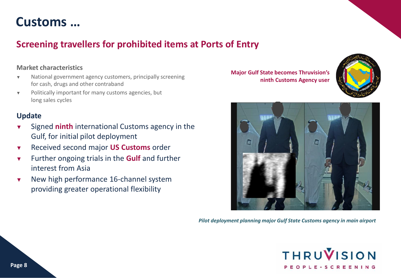### **Customs …**

### **Screening travellers for prohibited items at Ports of Entry**

#### **Market characteristics**

- ▼ National government agency customers, principally screening for cash, drugs and other contraband
- ▼ Politically important for many customs agencies, but long sales cycles

#### **Update**

- ▼ Signed **ninth** international Customs agency in the Gulf, for initial pilot deployment
- ▼ Received second major **US Customs** order
- ▼ Further ongoing trials in the **Gulf** and further interest from Asia
- ▼ New high performance 16-channel system providing greater operational flexibility

**Major Gulf State becomes Thruvision's ninth Customs Agency user**





*Pilot deployment planning major Gulf State Customs agency in main airport*

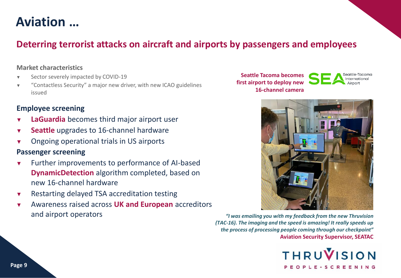## **Aviation …**

### **Deterring terrorist attacks on aircraft and airports by passengers and employees**

#### **Market characteristics**

- ▼ Sector severely impacted by COVID-19
- ▼ "Contactless Security" a major new driver, with new ICAO guidelines issued

#### **Employee screening**

- ▼ **LaGuardia** becomes third major airport user
- ▼ **Seattle** upgrades to 16-channel hardware
- Ongoing operational trials in US airports

#### **Passenger screening**

- ▼ Further improvements to performance of AI-based **DynamicDetection** algorithm completed, based on new 16-channel hardware
- ▼ Restarting delayed TSA accreditation testing
- ▼ Awareness raised across **UK and European** accreditors and airport operators

**Seattle Tacoma becomes first airport to deploy new 16-channel camera** eattle-Tacomo



*"I was emailing you with my feedback from the new Thruvision (TAC-16). The imaging and the speed is amazing! It really speeds up the process of processing people coming through our checkpoint"* **Aviation Security Supervisor, SEATAC**

> **THRUVISION** PEOPLE - SCREENING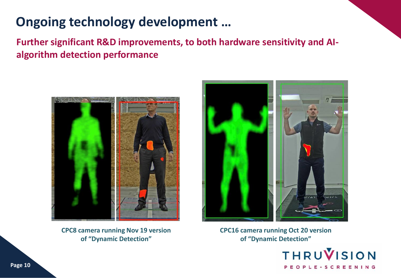## **Ongoing technology development …**

**Further significant R&D improvements, to both hardware sensitivity and AIalgorithm detection performance**



**CPC8 camera running Nov 19 version of "Dynamic Detection"**



**CPC16 camera running Oct 20 version of "Dynamic Detection"**

> **THRUVISION** PEOPLE-SCREENING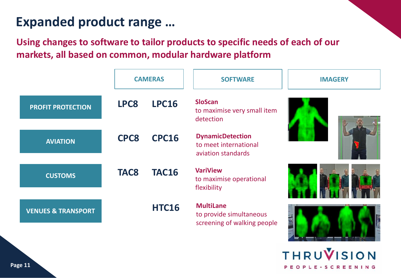## **Expanded product range …**

**Using changes to software to tailor products to specific needs of each of our markets, all based on common, modular hardware platform** 

|                               |             | <b>CAMERAS</b> | <b>SOFTWARE</b>                                                            | <b>IMAGERY</b> |  |
|-------------------------------|-------------|----------------|----------------------------------------------------------------------------|----------------|--|
| <b>PROFIT PROTECTION</b>      | LPC8        | <b>LPC16</b>   | <b>SloScan</b><br>to maximise very small item<br>detection                 |                |  |
| <b>AVIATION</b>               | <b>CPC8</b> | <b>CPC16</b>   | <b>DynamicDetection</b><br>to meet international<br>aviation standards     |                |  |
| <b>CUSTOMS</b>                | <b>TAC8</b> | <b>TAC16</b>   | <b>VariView</b><br>to maximise operational<br>flexibility                  |                |  |
| <b>VENUES &amp; TRANSPORT</b> |             | <b>HTC16</b>   | <b>MultiLane</b><br>to provide simultaneous<br>screening of walking people |                |  |

**THRUVISION** OPLE-SCREENING

the communication of the communication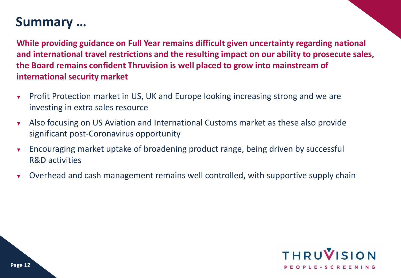### **Summary …**

**While providing guidance on Full Year remains difficult given uncertainty regarding national and international travel restrictions and the resulting impact on our ability to prosecute sales, the Board remains confident Thruvision is well placed to grow into mainstream of international security market**

- **Profit Protection market in US, UK and Europe looking increasing strong and we are** investing in extra sales resource
- ▼ Also focusing on US Aviation and International Customs market as these also provide significant post-Coronavirus opportunity
- ▼ Encouraging market uptake of broadening product range, being driven by successful R&D activities
- ▼ Overhead and cash management remains well controlled, with supportive supply chain

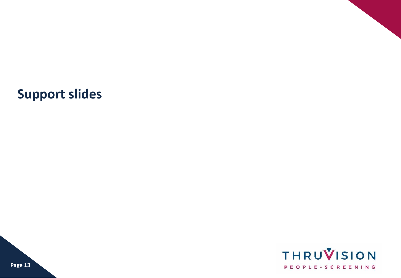## **Support slides**

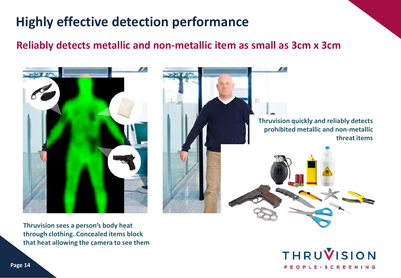# **Highly effective detection performance**

### **Reliably detects metallic and non-metallic item as small as 3cm x 3cm**



**Thruvision sees a person's body heat through clothing. Concealed items block that heat allowing the camera to see them**

**THRUVISION** PEOPLE-SCREENING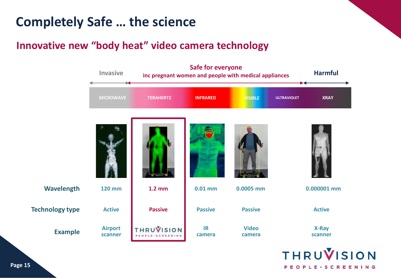## **Completely Safe … the science**

### **Innovative new "body heat" video camera technology**



PEOPLE-SCREENING